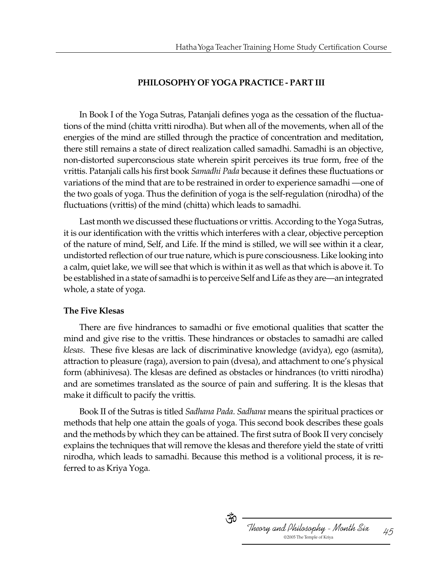## **PHILOSOPHY OF YOGA PRACTICE - PART III**

In Book I of the Yoga Sutras, Patanjali defines yoga as the cessation of the fluctuations of the mind (chitta vritti nirodha). But when all of the movements, when all of the energies of the mind are stilled through the practice of concentration and meditation, there still remains a state of direct realization called samadhi. Samadhi is an objective, non-distorted superconscious state wherein spirit perceives its true form, free of the vrittis. Patanjali calls his first book *Samadhi Pada* because it defines these fluctuations or variations of the mind that are to be restrained in order to experience samadhi —one of the two goals of yoga. Thus the definition of yoga is the self-regulation (nirodha) of the fluctuations (vrittis) of the mind (chitta) which leads to samadhi.

Last month we discussed these fluctuations or vrittis. According to the Yoga Sutras, it is our identification with the vrittis which interferes with a clear, objective perception of the nature of mind, Self, and Life. If the mind is stilled, we will see within it a clear, undistorted reflection of our true nature, which is pure consciousness. Like looking into a calm, quiet lake, we will see that which is within it as well as that which is above it. To be established in a state of samadhi is to perceive Self and Life as they are—an integrated whole, a state of yoga.

## **The Five Klesas**

There are five hindrances to samadhi or five emotional qualities that scatter the mind and give rise to the vrittis. These hindrances or obstacles to samadhi are called *klesas*. These five klesas are lack of discriminative knowledge (avidya), ego (asmita), attraction to pleasure (raga), aversion to pain (dvesa), and attachment to one's physical form (abhinivesa). The klesas are defined as obstacles or hindrances (to vritti nirodha) and are sometimes translated as the source of pain and suffering. It is the klesas that make it difficult to pacify the vrittis.

Book II of the Sutras is titled *Sadhana Pada*. *Sadhana* means the spiritual practices or methods that help one attain the goals of yoga. This second book describes these goals and the methods by which they can be attained. The first sutra of Book II very concisely explains the techniques that will remove the klesas and therefore yield the state of vritti nirodha, which leads to samadhi. Because this method is a volitional process, it is referred to as Kriya Yoga.

ుస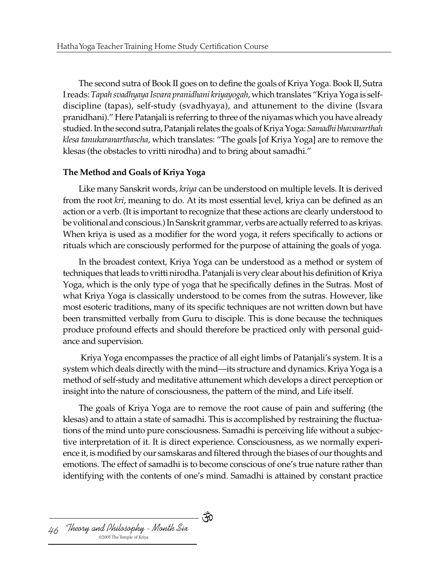The second sutra of Book II goes on to define the goals of Kriya Yoga. Book II, Sutra I reads: *Tapah svadhyaya Isvara pranidhani kriyayogah*, which translates "Kriya Yoga is selfdiscipline (tapas), self-study (svadhyaya), and attunement to the divine (Isvara pranidhani)." Here Patanjali is referring to three of the niyamas which you have already studied. In the second sutra, Patanjali relates the goals of Kriya Yoga: *Samadhi bhavanarthah klesa tanukaranarthascha*, which translates: "The goals [of Kriya Yoga] are to remove the klesas (the obstacles to vritti nirodha) and to bring about samadhi."

### **The Method and Goals of Kriya Yoga**

Like many Sanskrit words, *kriya* can be understood on multiple levels. It is derived from the root *kri*, meaning to do. At its most essential level, kriya can be defined as an action or a verb. (It is important to recognize that these actions are clearly understood to be volitional and conscious.) In Sanskrit grammar, verbs are actually referred to as kriyas. When kriya is used as a modifier for the word yoga, it refers specifically to actions or rituals which are consciously performed for the purpose of attaining the goals of yoga.

In the broadest context, Kriya Yoga can be understood as a method or system of techniques that leads to vritti nirodha. Patanjali is very clear about his definition of Kriya Yoga, which is the only type of yoga that he specifically defines in the Sutras. Most of what Kriya Yoga is classically understood to be comes from the sutras. However, like most esoteric traditions, many of its specific techniques are not written down but have been transmitted verbally from Guru to disciple. This is done because the techniques produce profound effects and should therefore be practiced only with personal guidance and supervision.

 Kriya Yoga encompasses the practice of all eight limbs of Patanjali's system. It is a system which deals directly with the mind—its structure and dynamics. Kriya Yoga is a method of self-study and meditative attunement which develops a direct perception or insight into the nature of consciousness, the pattern of the mind, and Life itself.

The goals of Kriya Yoga are to remove the root cause of pain and suffering (the klesas) and to attain a state of samadhi. This is accomplished by restraining the fluctuations of the mind unto pure consciousness. Samadhi is perceiving life without a subjective interpretation of it. It is direct experience. Consciousness, as we normally experience it, is modified by our samskaras and filtered through the biases of our thoughts and emotions. The effect of samadhi is to become conscious of one's true nature rather than identifying with the contents of one's mind. Samadhi is attained by constant practice

- পঁ0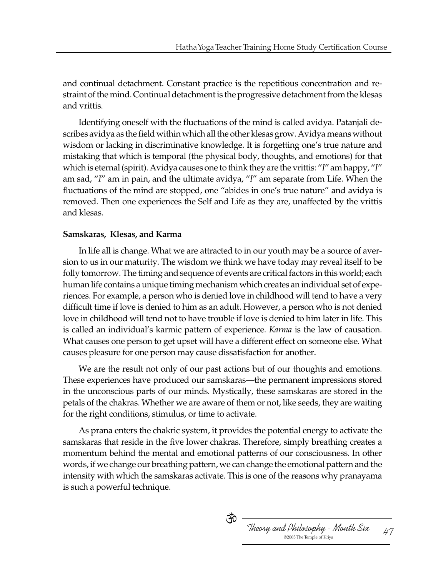and continual detachment. Constant practice is the repetitious concentration and restraint of the mind. Continual detachment is the progressive detachment from the klesas and vrittis.

Identifying oneself with the fluctuations of the mind is called avidya. Patanjali describes avidya as the field within which all the other klesas grow. Avidya means without wisdom or lacking in discriminative knowledge. It is forgetting one's true nature and mistaking that which is temporal (the physical body, thoughts, and emotions) for that which is eternal (spirit). Avidya causes one to think they are the vrittis: "*I*" am happy, "*I*" am sad, "*I*" am in pain, and the ultimate avidya, "*I*" am separate from Life. When the fluctuations of the mind are stopped, one "abides in one's true nature" and avidya is removed. Then one experiences the Self and Life as they are, unaffected by the vrittis and klesas.

### **Samskaras, Klesas, and Karma**

In life all is change. What we are attracted to in our youth may be a source of aversion to us in our maturity. The wisdom we think we have today may reveal itself to be folly tomorrow. The timing and sequence of events are critical factors in this world; each human life contains a unique timing mechanism which creates an individual set of experiences. For example, a person who is denied love in childhood will tend to have a very difficult time if love is denied to him as an adult. However, a person who is not denied love in childhood will tend not to have trouble if love is denied to him later in life. This is called an individual's karmic pattern of experience. *Karma* is the law of causation. What causes one person to get upset will have a different effect on someone else. What causes pleasure for one person may cause dissatisfaction for another.

We are the result not only of our past actions but of our thoughts and emotions. These experiences have produced our samskaras—the permanent impressions stored in the unconscious parts of our minds. Mystically, these samskaras are stored in the petals of the chakras. Whether we are aware of them or not, like seeds, they are waiting for the right conditions, stimulus, or time to activate.

As prana enters the chakric system, it provides the potential energy to activate the samskaras that reside in the five lower chakras. Therefore, simply breathing creates a momentum behind the mental and emotional patterns of our consciousness. In other words, if we change our breathing pattern, we can change the emotional pattern and the intensity with which the samskaras activate. This is one of the reasons why pranayama is such a powerful technique.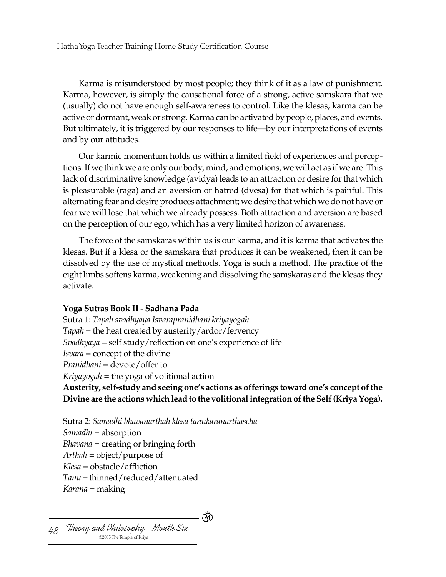Karma is misunderstood by most people; they think of it as a law of punishment. Karma, however, is simply the causational force of a strong, active samskara that we (usually) do not have enough self-awareness to control. Like the klesas, karma can be active or dormant, weak or strong. Karma can be activated by people, places, and events. But ultimately, it is triggered by our responses to life—by our interpretations of events and by our attitudes.

Our karmic momentum holds us within a limited field of experiences and perceptions. If we think we are only our body, mind, and emotions, we will act as if we are. This lack of discriminative knowledge (avidya) leads to an attraction or desire for that which is pleasurable (raga) and an aversion or hatred (dvesa) for that which is painful. This alternating fear and desire produces attachment; we desire that which we do not have or fear we will lose that which we already possess. Both attraction and aversion are based on the perception of our ego, which has a very limited horizon of awareness.

The force of the samskaras within us is our karma, and it is karma that activates the klesas. But if a klesa or the samskara that produces it can be weakened, then it can be dissolved by the use of mystical methods. Yoga is such a method. The practice of the eight limbs softens karma, weakening and dissolving the samskaras and the klesas they activate.

## **Yoga Sutras Book II - Sadhana Pada**

Sutra 1: *Tapah svadhyaya Isvarapranidhani kriyayogah Tapah* = the heat created by austerity/ardor/fervency *Svadhyaya* = self study/reflection on one's experience of life *Isvara* = concept of the divine *Pranidhani* = devote/offer to *Kriyayogah* = the yoga of volitional action **Austerity, self-study and seeing one's actions as offerings toward one's concept of the Divine are the actions which lead to the volitional integration of the Self (Kriya Yoga).**

- পঁ0

Sutra 2: *Samadhi bhavanarthah klesa tanukaranarthascha Samadhi* = absorption *Bhavana* = creating or bringing forth *Arthah* = object/purpose of *Klesa* = obstacle/affliction *Tanu* = thinned/reduced/attenuated *Karana* = making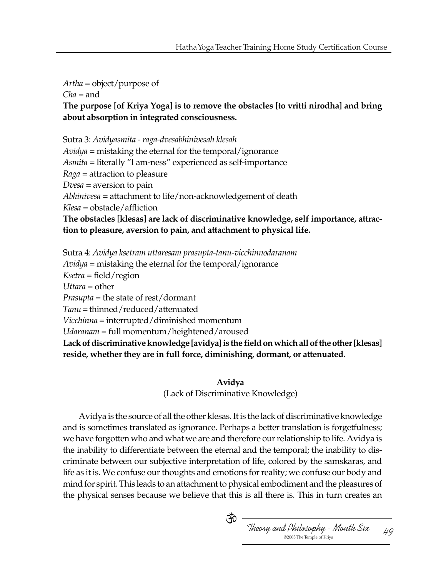*Artha* = object/purpose of *Cha* = and

**The purpose [of Kriya Yoga] is to remove the obstacles [to vritti nirodha] and bring about absorption in integrated consciousness.**

Sutra 3: *Avidyasmita - raga-dvesabhinivesah klesah*

*Avidya* = mistaking the eternal for the temporal/ignorance *Asmita* = literally "I am-ness" experienced as self-importance *Raga* = attraction to pleasure *Dvesa* = aversion to pain *Abhinivesa* = attachment to life/non-acknowledgement of death *Klesa* = obstacle/affliction **The obstacles [klesas] are lack of discriminative knowledge, self importance, attraction to pleasure, aversion to pain, and attachment to physical life.**

Sutra 4: *Avidya ksetram uttaresam prasupta-tanu-vicchinnodaranam*

*Avidya* = mistaking the eternal for the temporal/ignorance

*Ksetra* = field/region

*Uttara* = other

*Prasupta* = the state of rest/dormant

*Tanu* = thinned/reduced/attenuated

*Vicchinna* = interrupted/diminished momentum

*Udaranam* = full momentum/heightened/aroused

**Lack of discriminative knowledge [avidya] is the field on which all of the other [klesas] reside, whether they are in full force, diminishing, dormant, or attenuated.**

### **Avidya**

(Lack of Discriminative Knowledge)

Avidya is the source of all the other klesas. It is the lack of discriminative knowledge and is sometimes translated as ignorance. Perhaps a better translation is forgetfulness; we have forgotten who and what we are and therefore our relationship to life. Avidya is the inability to differentiate between the eternal and the temporal; the inability to discriminate between our subjective interpretation of life, colored by the samskaras, and life as it is. We confuse our thoughts and emotions for reality; we confuse our body and mind for spirit. This leads to an attachment to physical embodiment and the pleasures of the physical senses because we believe that this is all there is. This in turn creates an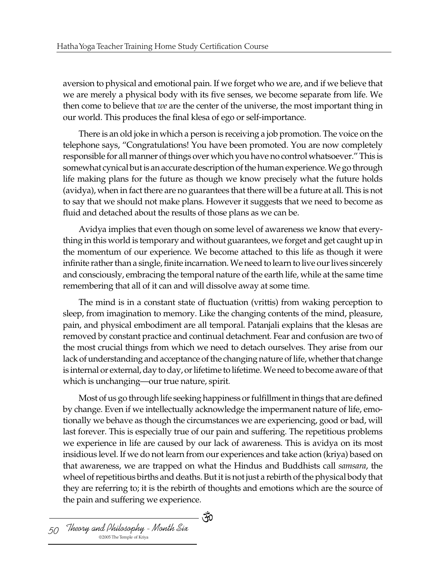aversion to physical and emotional pain. If we forget who we are, and if we believe that we are merely a physical body with its five senses, we become separate from life. We then come to believe that *we* are the center of the universe, the most important thing in our world. This produces the final klesa of ego or self-importance.

There is an old joke in which a person is receiving a job promotion. The voice on the telephone says, "Congratulations! You have been promoted. You are now completely responsible for all manner of things over which you have no control whatsoever." This is somewhat cynical but is an accurate description of the human experience. We go through life making plans for the future as though we know precisely what the future holds (avidya), when in fact there are no guarantees that there will be a future at all. This is not to say that we should not make plans. However it suggests that we need to become as fluid and detached about the results of those plans as we can be.

Avidya implies that even though on some level of awareness we know that everything in this world is temporary and without guarantees, we forget and get caught up in the momentum of our experience. We become attached to this life as though it were infinite rather than a single, finite incarnation. We need to learn to live our lives sincerely and consciously, embracing the temporal nature of the earth life, while at the same time remembering that all of it can and will dissolve away at some time.

The mind is in a constant state of fluctuation (vrittis) from waking perception to sleep, from imagination to memory. Like the changing contents of the mind, pleasure, pain, and physical embodiment are all temporal. Patanjali explains that the klesas are removed by constant practice and continual detachment. Fear and confusion are two of the most crucial things from which we need to detach ourselves. They arise from our lack of understanding and acceptance of the changing nature of life, whether that change is internal or external, day to day, or lifetime to lifetime. We need to become aware of that which is unchanging—our true nature, spirit.

Most of us go through life seeking happiness or fulfillment in things that are defined by change. Even if we intellectually acknowledge the impermanent nature of life, emotionally we behave as though the circumstances we are experiencing, good or bad, will last forever. This is especially true of our pain and suffering. The repetitious problems we experience in life are caused by our lack of awareness. This is avidya on its most insidious level. If we do not learn from our experiences and take action (kriya) based on that awareness, we are trapped on what the Hindus and Buddhists call *samsara*, the wheel of repetitious births and deaths. But it is not just a rebirth of the physical body that they are referring to; it is the rebirth of thoughts and emotions which are the source of the pain and suffering we experience.

୍ୟୁତ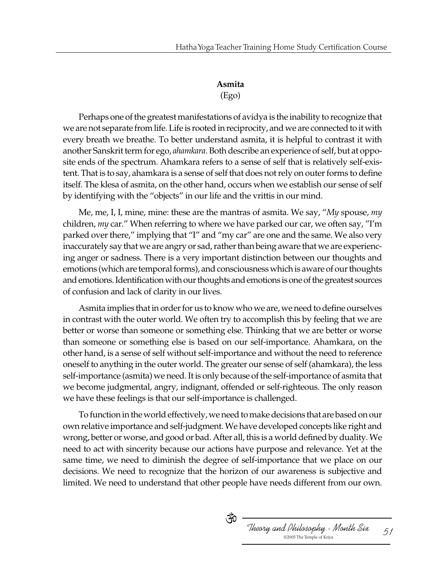# **Asmita**

## (Ego)

Perhaps one of the greatest manifestations of avidya is the inability to recognize that we are not separate from life. Life is rooted in reciprocity, and we are connected to it with every breath we breathe. To better understand asmita, it is helpful to contrast it with another Sanskrit term for ego, *ahamkara*. Both describe an experience of self, but at opposite ends of the spectrum. Ahamkara refers to a sense of self that is relatively self-existent. That is to say, ahamkara is a sense of self that does not rely on outer forms to define itself. The klesa of asmita, on the other hand, occurs when we establish our sense of self by identifying with the "objects" in our life and the vrittis in our mind.

Me, me, I, I, mine, mine: these are the mantras of asmita. We say, "*My* spouse, *my* children, *my* car." When referring to where we have parked our car, we often say, "I'm parked over there," implying that "I" and "my car" are one and the same. We also very inaccurately say that we are angry or sad, rather than being aware that we are experiencing anger or sadness. There is a very important distinction between our thoughts and emotions (which are temporal forms), and consciousness which is aware of our thoughts and emotions. Identification with our thoughts and emotions is one of the greatest sources of confusion and lack of clarity in our lives.

Asmita implies that in order for us to know who we are, we need to define ourselves in contrast with the outer world. We often try to accomplish this by feeling that we are better or worse than someone or something else. Thinking that we are better or worse than someone or something else is based on our self-importance. Ahamkara, on the other hand, is a sense of self without self-importance and without the need to reference oneself to anything in the outer world. The greater our sense of self (ahamkara), the less self-importance (asmita) we need. It is only because of the self-importance of asmita that we become judgmental, angry, indignant, offended or self-righteous. The only reason we have these feelings is that our self-importance is challenged.

To function in the world effectively, we need to make decisions that are based on our own relative importance and self-judgment. We have developed concepts like right and wrong, better or worse, and good or bad. After all, this is a world defined by duality. We need to act with sincerity because our actions have purpose and relevance. Yet at the same time, we need to diminish the degree of self-importance that we place on our decisions. We need to recognize that the horizon of our awareness is subjective and limited. We need to understand that other people have needs different from our own.

ుస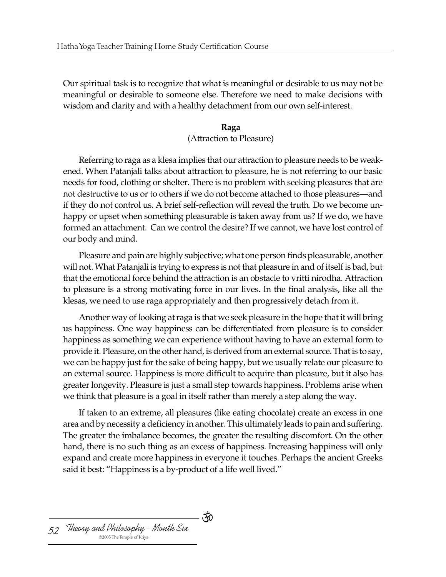Our spiritual task is to recognize that what is meaningful or desirable to us may not be meaningful or desirable to someone else. Therefore we need to make decisions with wisdom and clarity and with a healthy detachment from our own self-interest.

## **Raga** (Attraction to Pleasure)

Referring to raga as a klesa implies that our attraction to pleasure needs to be weakened. When Patanjali talks about attraction to pleasure, he is not referring to our basic needs for food, clothing or shelter. There is no problem with seeking pleasures that are not destructive to us or to others if we do not become attached to those pleasures—and if they do not control us. A brief self-reflection will reveal the truth. Do we become unhappy or upset when something pleasurable is taken away from us? If we do, we have formed an attachment. Can we control the desire? If we cannot, we have lost control of our body and mind.

Pleasure and pain are highly subjective; what one person finds pleasurable, another will not. What Patanjali is trying to express is not that pleasure in and of itself is bad, but that the emotional force behind the attraction is an obstacle to vritti nirodha. Attraction to pleasure is a strong motivating force in our lives. In the final analysis, like all the klesas, we need to use raga appropriately and then progressively detach from it.

Another way of looking at raga is that we seek pleasure in the hope that it will bring us happiness. One way happiness can be differentiated from pleasure is to consider happiness as something we can experience without having to have an external form to provide it. Pleasure, on the other hand, is derived from an external source. That is to say, we can be happy just for the sake of being happy, but we usually relate our pleasure to an external source. Happiness is more difficult to acquire than pleasure, but it also has greater longevity. Pleasure is just a small step towards happiness. Problems arise when we think that pleasure is a goal in itself rather than merely a step along the way.

If taken to an extreme, all pleasures (like eating chocolate) create an excess in one area and by necessity a deficiency in another. This ultimately leads to pain and suffering. The greater the imbalance becomes, the greater the resulting discomfort. On the other hand, there is no such thing as an excess of happiness. Increasing happiness will only expand and create more happiness in everyone it touches. Perhaps the ancient Greeks said it best: "Happiness is a by-product of a life well lived."

ేం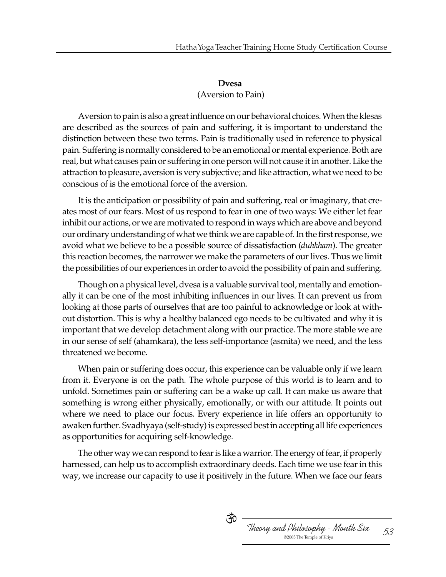## **Dvesa** (Aversion to Pain)

Aversion to pain is also a great influence on our behavioral choices. When the klesas are described as the sources of pain and suffering, it is important to understand the distinction between these two terms. Pain is traditionally used in reference to physical pain. Suffering is normally considered to be an emotional or mental experience. Both are real, but what causes pain or suffering in one person will not cause it in another. Like the attraction to pleasure, aversion is very subjective; and like attraction, what we need to be conscious of is the emotional force of the aversion.

It is the anticipation or possibility of pain and suffering, real or imaginary, that creates most of our fears. Most of us respond to fear in one of two ways: We either let fear inhibit our actions, or we are motivated to respond in ways which are above and beyond our ordinary understanding of what we think we are capable of. In the first response, we avoid what we believe to be a possible source of dissatisfaction (*duhkham*). The greater this reaction becomes, the narrower we make the parameters of our lives. Thus we limit the possibilities of our experiences in order to avoid the possibility of pain and suffering.

Though on a physical level, dvesa is a valuable survival tool, mentally and emotionally it can be one of the most inhibiting influences in our lives. It can prevent us from looking at those parts of ourselves that are too painful to acknowledge or look at without distortion. This is why a healthy balanced ego needs to be cultivated and why it is important that we develop detachment along with our practice. The more stable we are in our sense of self (ahamkara), the less self-importance (asmita) we need, and the less threatened we become.

When pain or suffering does occur, this experience can be valuable only if we learn from it. Everyone is on the path. The whole purpose of this world is to learn and to unfold. Sometimes pain or suffering can be a wake up call. It can make us aware that something is wrong either physically, emotionally, or with our attitude. It points out where we need to place our focus. Every experience in life offers an opportunity to awaken further. Svadhyaya (self-study) is expressed best in accepting all life experiences as opportunities for acquiring self-knowledge.

The other way we can respond to fear is like a warrior. The energy of fear, if properly harnessed, can help us to accomplish extraordinary deeds. Each time we use fear in this way, we increase our capacity to use it positively in the future. When we face our fears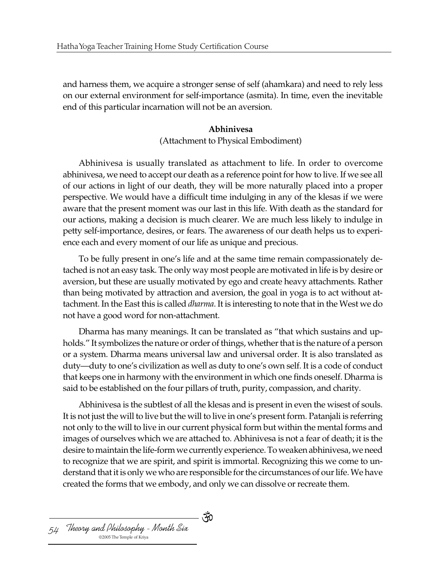and harness them, we acquire a stronger sense of self (ahamkara) and need to rely less on our external environment for self-importance (asmita). In time, even the inevitable end of this particular incarnation will not be an aversion.

### **Abhinivesa**

(Attachment to Physical Embodiment)

Abhinivesa is usually translated as attachment to life. In order to overcome abhinivesa, we need to accept our death as a reference point for how to live. If we see all of our actions in light of our death, they will be more naturally placed into a proper perspective. We would have a difficult time indulging in any of the klesas if we were aware that the present moment was our last in this life. With death as the standard for our actions, making a decision is much clearer. We are much less likely to indulge in petty self-importance, desires, or fears. The awareness of our death helps us to experience each and every moment of our life as unique and precious.

To be fully present in one's life and at the same time remain compassionately detached is not an easy task. The only way most people are motivated in life is by desire or aversion, but these are usually motivated by ego and create heavy attachments. Rather than being motivated by attraction and aversion, the goal in yoga is to act without attachment. In the East this is called *dharma*. It is interesting to note that in the West we do not have a good word for non-attachment.

Dharma has many meanings. It can be translated as "that which sustains and upholds." It symbolizes the nature or order of things, whether that is the nature of a person or a system. Dharma means universal law and universal order. It is also translated as duty—duty to one's civilization as well as duty to one's own self. It is a code of conduct that keeps one in harmony with the environment in which one finds oneself. Dharma is said to be established on the four pillars of truth, purity, compassion, and charity.

Abhinivesa is the subtlest of all the klesas and is present in even the wisest of souls. It is not just the will to live but the will to live in one's present form. Patanjali is referring not only to the will to live in our current physical form but within the mental forms and images of ourselves which we are attached to. Abhinivesa is not a fear of death; it is the desire to maintain the life-form we currently experience. To weaken abhinivesa, we need to recognize that we are spirit, and spirit is immortal. Recognizing this we come to understand that it is only we who are responsible for the circumstances of our life. We have created the forms that we embody, and only we can dissolve or recreate them.

- পঁ0